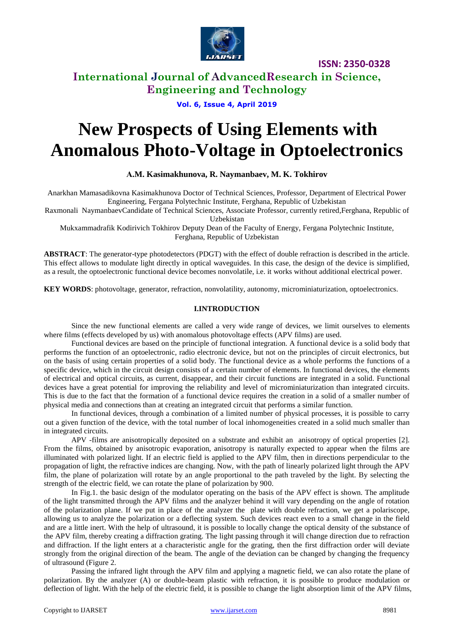

**ISSN: 2350-0328**

## **International Journal of AdvancedResearch in Science, Engineering and Technology**

**Vol. 6, Issue 4, April 2019**

# **New Prospects of Using Elements with Anomalous Photo-Voltage in Optoelectronics**

**А.M. Kasimakhunova, R. Naymanbaev, M. K. Tokhirov**

Anarkhan Mamasadikovna Kasimakhunova Doctor of Technical Sciences, Professor, Department of Electrical Power Engineering, Fergana Polytechnic Institute, Ferghana, Republic of Uzbekistan

Raxmonali NaymanbaevCandidate of Technical Sciences, Associate Professor, currently retired,Ferghana, Republic of

Uzbekistan

Mukxammadrafik Kodirivich Tokhirov Deputy Dean of the Faculty of Energy, Fergana Polytechnic Institute, Ferghana, Republic of Uzbekistan

**ABSTRACT**: The generator-type photodetectors (PDGT) with the effect of double refraction is described in the article. This effect allows to modulate light directly in optical waveguides. In this case, the design of the device is simplified, as a result, the optoelectronic functional device becomes nonvolatile, i.e. it works without additional electrical power.

**KEY WORDS**: photovoltage, generator, refraction, nonvolatility, autonomy, microminiaturization, optoelectronics.

#### **I.INTRODUCTION**

Since the new functional elements are called a very wide range of devices, we limit ourselves to elements where films (effects developed by us) with anomalous photovoltage effects (APV films) are used.

Functional devices are based on the principle of functional integration. A functional device is a solid body that performs the function of an optoelectronic, radio electronic device, but not on the principles of circuit electronics, but on the basis of using certain properties of a solid body. The functional device as a whole performs the functions of a specific device, which in the circuit design consists of a certain number of elements. In functional devices, the elements of electrical and optical circuits, as current, disappear, and their circuit functions are integrated in a solid. Functional devices have a great potential for improving the reliability and level of microminiaturization than integrated circuits. This is due to the fact that the formation of a functional device requires the creation in a solid of a smaller number of physical media and connections than at creating an integrated circuit that performs a similar function.

In functional devices, through a combination of a limited number of physical processes, it is possible to carry out a given function of the device, with the total number of local inhomogeneities created in a solid much smaller than in integrated circuits.

APV -films are anisotropically deposited on a substrate and exhibit an anisotropy of optical properties [2]. From the films, obtained by anisotropic evaporation, anisotropy is naturally expected to appear when the films are illuminated with polarized light. If an electric field is applied to the APV film, then in directions perpendicular to the propagation of light, the refractive indices are changing. Now, with the path of linearly polarized light through the APV film, the plane of polarization will rotate by an angle proportional to the path traveled by the light. By selecting the strength of the electric field, we can rotate the plane of polarization by 900.

In Fig.1. the basic design of the modulator operating on the basis of the APV effect is shown. The amplitude of the light transmitted through the APV films and the analyzer behind it will vary depending on the angle of rotation of the polarization plane. If we put in place of the analyzer the plate with double refraction, we get a polariscope, allowing us to analyze the polarization or a deflecting system. Such devices react even to a small change in the field and are a little inert. With the help of ultrasound, it is possible to locally change the optical density of the substance of the APV film, thereby creating a diffraction grating. The light passing through it will change direction due to refraction and diffraction. If the light enters at a characteristic angle for the grating, then the first diffraction order will deviate strongly from the original direction of the beam. The angle of the deviation can be changed by changing the frequency of ultrasound (Figure 2.

Passing the infrared light through the APV film and applying a magnetic field, we can also rotate the plane of polarization. By the analyzer (A) or double-beam plastic with refraction, it is possible to produce modulation or deflection of light. With the help of the electric field, it is possible to change the light absorption limit of the APV films,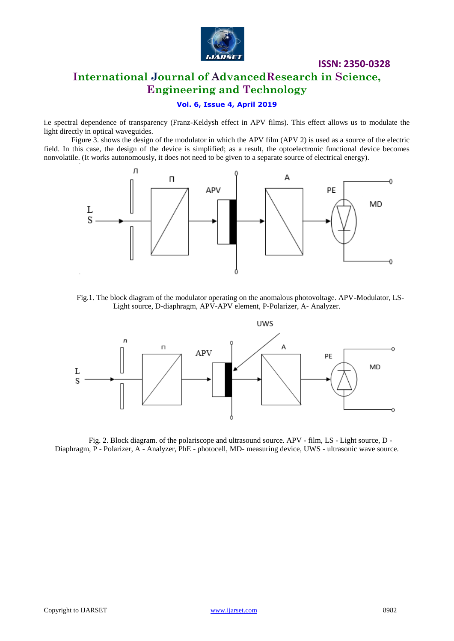

#### **ISSN: 2350-0328**

# **International Journal of AdvancedResearch in Science, Engineering and Technology**

#### **Vol. 6, Issue 4, April 2019**

i.e spectral dependence of transparency (Franz-Keldysh effect in APV films). This effect allows us to modulate the light directly in optical waveguides.

Figure 3. shows the design of the modulator in which the APV film (APV 2) is used as a source of the electric field. In this case, the design of the device is simplified; as a result, the optoelectronic functional device becomes nonvolatile. (It works autonomously, it does not need to be given to a separate source of electrical energy).



Fig.1. The block diagram of the modulator operating on the anomalous photovoltage. APV-Modulator, LS-Light source, D-diaphragm, APV-APV element, P-Polarizer, A- Analyzer.



Fig. 2. Block diagram. of the polariscope and ultrasound source. APV - film, LS - Light source, D - Diaphragm, P - Polarizer, A - Analyzer, PhE - photocell, MD- measuring device, UWS - ultrasonic wave source.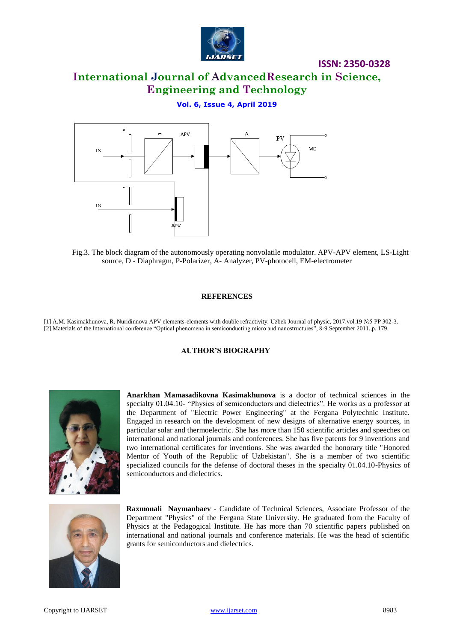

### **ISSN: 2350-0328**

**International Journal of AdvancedResearch in Science, Engineering and Technology**

#### **Vol. 6, Issue 4, April 2019**



Fig.3. The block diagram of the autonomously operating nonvolatile modulator. APV-APV element, LS-Light source, D - Diaphragm, P-Polarizer, A- Analyzer, PV-photocell, EM-electrometer

#### **REFERENCES**

[1] A.M. Kasimakhunova, R. Nuridinnova APV elements-elements with double refractivity. Uzbek Journal of physic, 2017.vol.19 №5 PP 302-3. [2] Materials of the International conference "Optical phenomena in semiconducting micro and nanostructures", 8-9 September 2011.,p. 179.

#### **AUTHOR'S BIOGRAPHY**



**Anarkhan Mamasadikovna Kasimakhunova** is a doctor of technical sciences in the specialty 01.04.10- "Physics of semiconductors and dielectrics". He works as a professor at the Department of "Electric Power Engineering" at the Fergana Polytechnic Institute. Engaged in research on the development of new designs of alternative energy sources, in particular solar and thermoelectric. She has more than 150 scientific articles and speeches on international and national journals and conferences. She has five patents for 9 inventions and two international certificates for inventions. She was awarded the honorary title "Honored Mentor of Youth of the Republic of Uzbekistan". She is a member of two scientific specialized councils for the defense of doctoral theses in the specialty 01.04.10-Physics of semiconductors and dielectrics.



**Raxmonali Naymanbaev** - Candidate of Technical Sciences, Associate Professor of the Department "Physics" of the Fergana State University. He graduated from the Faculty of Physics at the Pedagogical Institute. He has more than 70 scientific papers published on international and national journals and conference materials. He was the head of scientific grants for semiconductors and dielectrics.